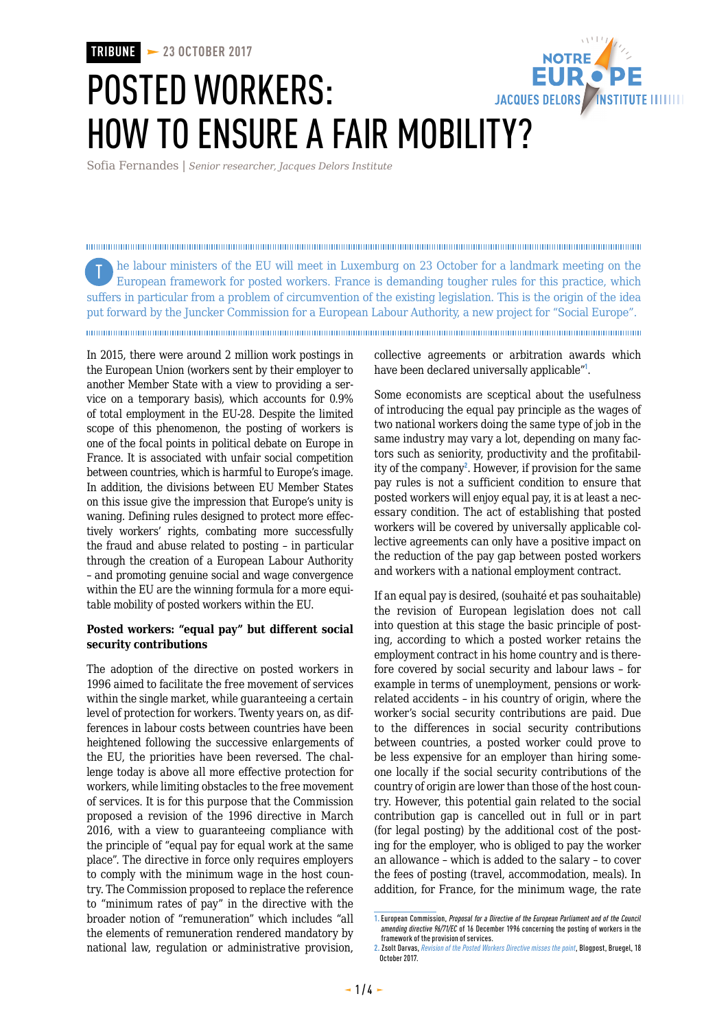**TRIBUNE 23 OCTOBER 2017**

# **NOTRE** POSTED WORKERS: JACQUES DELORS / INSTITUTE IIIIIIIII HOW TO ENSURE A FAIR MOBILITY?

Sofia Fernandes | *Senior researcher, Jacques Delors Institute*

he labour ministers of the EU will meet in Luxemburg on 23 October for a landmark meeting on the TEuropean framework for posted workers. France is demanding tougher rules for this practice, which suffers in particular from a problem of circumvention of the existing legislation. This is the origin of the idea put forward by the Juncker Commission for a European Labour Authority, a new project for "Social Europe". 

In 2015, there were around 2 million work postings in the European Union (workers sent by their employer to another Member State with a view to providing a service on a temporary basis), which accounts for 0.9% of total employment in the EU-28. Despite the limited scope of this phenomenon, the posting of workers is one of the focal points in political debate on Europe in France. It is associated with unfair social competition between countries, which is harmful to Europe's image. In addition, the divisions between EU Member States on this issue give the impression that Europe's unity is waning. Defining rules designed to protect more effectively workers' rights, combating more successfully the fraud and abuse related to posting – in particular through the creation of a European Labour Authority – and promoting genuine social and wage convergence within the EU are the winning formula for a more equitable mobility of posted workers within the EU.

# **Posted workers: "equal pay" but different social security contributions**

The adoption of the directive on posted workers in 1996 aimed to facilitate the free movement of services within the single market, while guaranteeing a certain level of protection for workers. Twenty years on, as differences in labour costs between countries have been heightened following the successive enlargements of the EU, the priorities have been reversed. The challenge today is above all more effective protection for workers, while limiting obstacles to the free movement of services. It is for this purpose that the Commission proposed a revision of the 1996 directive in March 2016, with a view to guaranteeing compliance with the principle of "equal pay for equal work at the same place". The directive in force only requires employers to comply with the minimum wage in the host country. The Commission proposed to replace the reference to "minimum rates of pay" in the directive with the broader notion of "remuneration" which includes "all the elements of remuneration rendered mandatory by national law, regulation or administrative provision,

collective agreements or arbitration awards which have been declared universally applicable"<sup>1</sup>.

Some economists are sceptical about the usefulness of introducing the equal pay principle as the wages of two national workers doing the same type of job in the same industry may vary a lot, depending on many factors such as seniority, productivity and the profitability of the company<sup>2</sup>. However, if provision for the same pay rules is not a sufficient condition to ensure that posted workers will enjoy equal pay, it is at least a necessary condition. The act of establishing that posted workers will be covered by universally applicable collective agreements can only have a positive impact on the reduction of the pay gap between posted workers and workers with a national employment contract.

If an equal pay is desired, (souhaité et pas souhaitable) the revision of European legislation does not call into question at this stage the basic principle of posting, according to which a posted worker retains the employment contract in his home country and is therefore covered by social security and labour laws – for example in terms of unemployment, pensions or workrelated accidents – in his country of origin, where the worker's social security contributions are paid. Due to the differences in social security contributions between countries, a posted worker could prove to be less expensive for an employer than hiring someone locally if the social security contributions of the country of origin are lower than those of the host country. However, this potential gain related to the social contribution gap is cancelled out in full or in part (for legal posting) by the additional cost of the posting for the employer, who is obliged to pay the worker an allowance – which is added to the salary – to cover the fees of posting (travel, accommodation, meals). In addition, for France, for the minimum wage, the rate

**<sup>1.</sup>** European Commission, *Proposal for a Directive of the European Parliament and of the Council amending directive 96/71/EC* of 16 December 1996 concerning the posting of workers in the framework of the provision of services.

**<sup>2.</sup>** Zsolt Darvas, *Revision of the Posted Workers Directive misses the point*, Blogpost, Bruegel, 18 October 2017.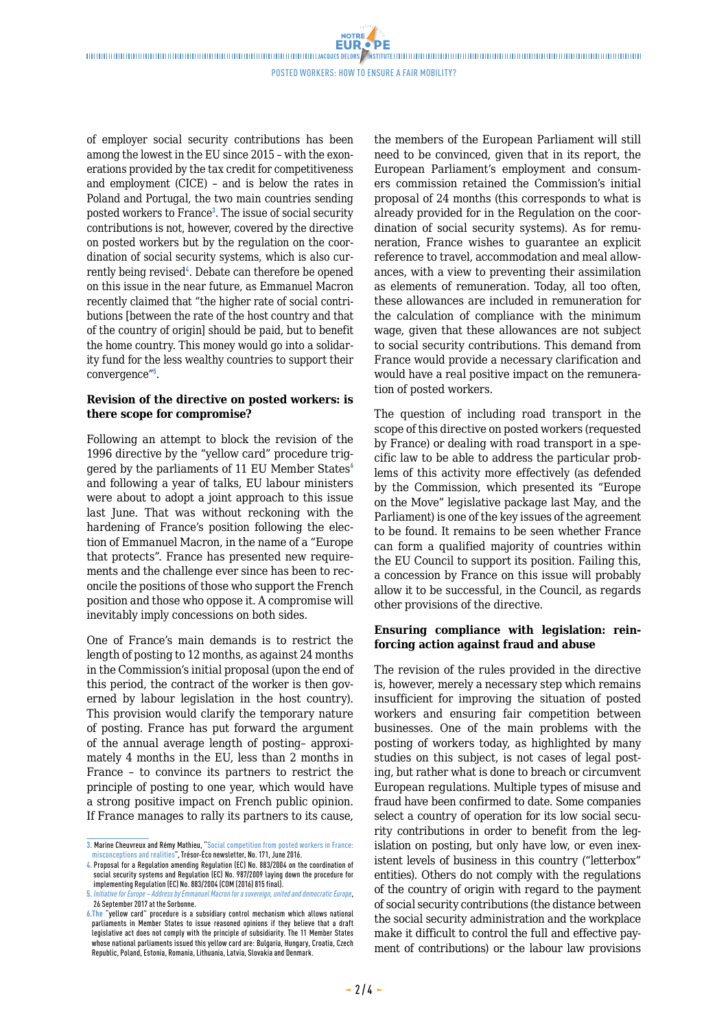NOTRE

## Posted workers: HOW TO ENSURE A FAIR MOBILITY?

of employer social security contributions has been among the lowest in the EU since 2015 – with the exonerations provided by the tax credit for competitiveness and employment (CICE) – and is below the rates in Poland and Portugal, the two main countries sending posted workers to France<sup>3</sup>. The issue of social security contributions is not, however, covered by the directive on posted workers but by the regulation on the coordination of social security systems, which is also currently being revised<sup>4</sup>. Debate can therefore be opened on this issue in the near future, as Emmanuel Macron recently claimed that "the higher rate of social contributions [between the rate of the host country and that of the country of origin] should be paid, but to benefit the home country. This money would go into a solidarity fund for the less wealthy countries to support their convergence"<sup>5</sup> .

### **Revision of the directive on posted workers: is there scope for compromise?**

Following an attempt to block the revision of the 1996 directive by the "yellow card" procedure triggered by the parliaments of 11 EU Member States $\delta$ and following a year of talks, EU labour ministers were about to adopt a joint approach to this issue last June. That was without reckoning with the hardening of France's position following the election of Emmanuel Macron, in the name of a "Europe that protects". France has presented new requirements and the challenge ever since has been to reconcile the positions of those who support the French position and those who oppose it. A compromise will inevitably imply concessions on both sides.

One of France's main demands is to restrict the length of posting to 12 months, as against 24 months in the Commission's initial proposal (upon the end of this period, the contract of the worker is then governed by labour legislation in the host country). This provision would clarify the temporary nature of posting. France has put forward the argument of the annual average length of posting– approximately 4 months in the EU, less than 2 months in France – to convince its partners to restrict the principle of posting to one year, which would have a strong positive impact on French public opinion. If France manages to rally its partners to its cause,

the members of the European Parliament will still need to be convinced, given that in its report, the European Parliament's employment and consumers commission retained the Commission's initial proposal of 24 months (this corresponds to what is already provided for in the Regulation on the coordination of social security systems). As for remuneration, France wishes to guarantee an explicit reference to travel, accommodation and meal allowances, with a view to preventing their assimilation as elements of remuneration. Today, all too often, these allowances are included in remuneration for the calculation of compliance with the minimum wage, given that these allowances are not subject to social security contributions. This demand from France would provide a necessary clarification and would have a real positive impact on the remuneration of posted workers.

The question of including road transport in the scope of this directive on posted workers (requested by France) or dealing with road transport in a specific law to be able to address the particular problems of this activity more effectively (as defended by the Commission, which presented its "Europe on the Move" legislative package last May, and the Parliament) is one of the key issues of the agreement to be found. It remains to be seen whether France can form a qualified majority of countries within the EU Council to support its position. Failing this, a concession by France on this issue will probably allow it to be successful, in the Council, as regards other provisions of the directive.

### **Ensuring compliance with legislation: reinforcing action against fraud and abuse**

The revision of the rules provided in the directive is, however, merely a necessary step which remains insufficient for improving the situation of posted workers and ensuring fair competition between businesses. One of the main problems with the posting of workers today, as highlighted by many studies on this subject, is not cases of legal posting, but rather what is done to breach or circumvent European regulations. Multiple types of misuse and fraud have been confirmed to date. Some companies select a country of operation for its low social security contributions in order to benefit from the legislation on posting, but only have low, or even inexistent levels of business in this country ("letterbox" entities). Others do not comply with the regulations of the country of origin with regard to the payment of social security contributions (the distance between the social security administration and the workplace make it difficult to control the full and effective payment of contributions) or the labour law provisions

**<sup>3.</sup>** Marine Cheuvreux and Rémy Mathieu, "Social competition from posted workers in France: misconceptions and realities", Trésor-Éco newsletter, No. 171, June 2016.

**<sup>4.</sup>** Proposal for a Regulation amending Regulation (EC) No. 883/2004 on the coordination of social security systems and Regulation (EC) No. 987/2009 laying down the procedure for implementing Regulation(EC) No. 883/2004 (COM (2016) 815 final).

**<sup>5.</sup>** *Initiative for Europe – Address by Emmanuel Macron for a sovereign, united and democratic Europe*, 26 September 2017 at the Sorbonne.

**<sup>6.</sup>The** "yellow card" procedure is a subsidiary control mechanism which allows national parliaments in Member States to issue reasoned opinions if they believe that a draft legislative act does not comply with the principle of subsidiarity. The 11 Member States whose national parliaments issued this yellow card are: Bulgaria, Hungary, Croatia, Czech Republic, Poland, Estonia, Romania, Lithuania, Latvia, Slovakia and Denmark.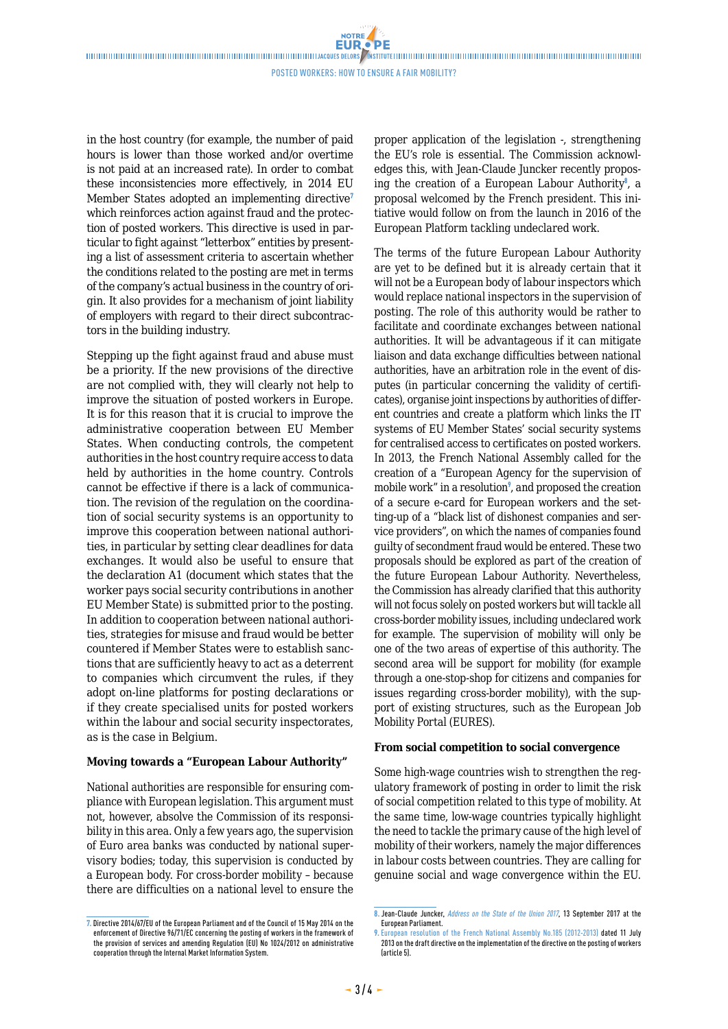NOTRE

in the host country (for example, the number of paid hours is lower than those worked and/or overtime is not paid at an increased rate). In order to combat these inconsistencies more effectively, in 2014 EU Member States adopted an implementing directive<sup>7</sup> which reinforces action against fraud and the protection of posted workers. This directive is used in particular to fight against "letterbox" entities by presenting a list of assessment criteria to ascertain whether the conditions related to the posting are met in terms of the company's actual business in the country of origin. It also provides for a mechanism of joint liability of employers with regard to their direct subcontractors in the building industry.

Stepping up the fight against fraud and abuse must be a priority. If the new provisions of the directive are not complied with, they will clearly not help to improve the situation of posted workers in Europe. It is for this reason that it is crucial to improve the administrative cooperation between EU Member States. When conducting controls, the competent authorities in the host country require access to data held by authorities in the home country. Controls cannot be effective if there is a lack of communication. The revision of the regulation on the coordination of social security systems is an opportunity to improve this cooperation between national authorities, in particular by setting clear deadlines for data exchanges. It would also be useful to ensure that the declaration A1 (document which states that the worker pays social security contributions in another EU Member State) is submitted prior to the posting. In addition to cooperation between national authorities, strategies for misuse and fraud would be better countered if Member States were to establish sanctions that are sufficiently heavy to act as a deterrent to companies which circumvent the rules, if they adopt on-line platforms for posting declarations or if they create specialised units for posted workers within the labour and social security inspectorates, as is the case in Belgium.

## **Moving towards a "European Labour Authority"**

National authorities are responsible for ensuring compliance with European legislation. This argument must not, however, absolve the Commission of its responsibility in this area. Only a few years ago, the supervision of Euro area banks was conducted by national supervisory bodies; today, this supervision is conducted by a European body. For cross-border mobility – because there are difficulties on a national level to ensure the

**7.** Directive 2014/67/EU of the European Parliament and of the Council of 15 May 2014 on the enforcement of Directive 96/71/EC concerning the posting of workers in the framework of the provision of services and amending Regulation (EU) No 1024/2012 on administrative cooperation through the Internal Market Information System.

proper application of the legislation -, strengthening the EU's role is essential. The Commission acknowledges this, with Jean-Claude Juncker recently proposing the creation of a European Labour Authority<sup>8</sup>, a proposal welcomed by the French president. This initiative would follow on from the launch in 2016 of the European Platform tackling undeclared work.

The terms of the future European Labour Authority are yet to be defined but it is already certain that it will not be a European body of labour inspectors which would replace national inspectors in the supervision of posting. The role of this authority would be rather to facilitate and coordinate exchanges between national authorities. It will be advantageous if it can mitigate liaison and data exchange difficulties between national authorities, have an arbitration role in the event of disputes (in particular concerning the validity of certificates), organise joint inspections by authorities of different countries and create a platform which links the IT systems of EU Member States' social security systems for centralised access to certificates on posted workers. In 2013, the French National Assembly called for the creation of a "European Agency for the supervision of mobile work" in a resolution<sup>9</sup>, and proposed the creation of a secure e-card for European workers and the setting-up of a "black list of dishonest companies and service providers", on which the names of companies found guilty of secondment fraud would be entered. These two proposals should be explored as part of the creation of the future European Labour Authority. Nevertheless, the Commission has already clarified that this authority will not focus solely on posted workers but will tackle all cross-border mobility issues, including undeclared work for example. The supervision of mobility will only be one of the two areas of expertise of this authority. The second area will be support for mobility (for example through a one-stop-shop for citizens and companies for issues regarding cross-border mobility), with the support of existing structures, such as the European Job Mobility Portal (EURES).

#### **From social competition to social convergence**

Some high-wage countries wish to strengthen the regulatory framework of posting in order to limit the risk of social competition related to this type of mobility. At the same time, low-wage countries typically highlight the need to tackle the primary cause of the high level of mobility of their workers, namely the major differences in labour costs between countries. They are calling for genuine social and wage convergence within the EU.

**<sup>8.</sup>** Jean-Claude Juncker, *Address on the State of the Union 2017*, 13 September 2017 at the European Parliament.

**<sup>9.</sup>** European resolution of the French National Assembly No.185 (2012-2013) dated 11 July 2013 on the draft directive on the implementation of the directive on the posting of workers (article 5).